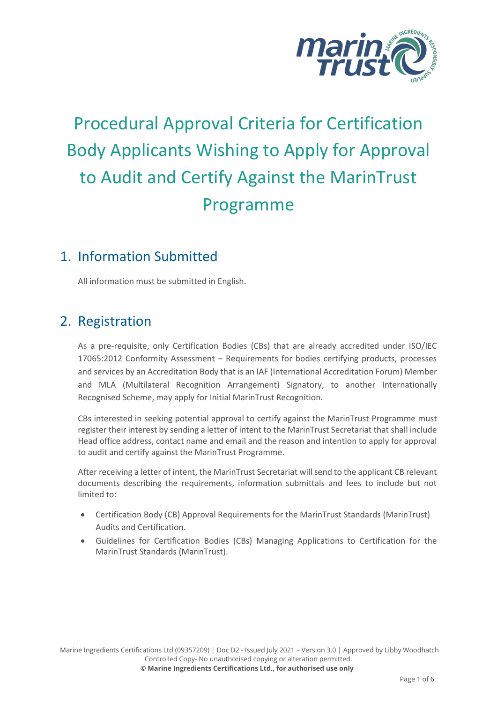

# Procedural Approval Criteria for Certification Body Applicants Wishing to Apply for Approval to Audit and Certify Against the MarinTrust Programme

#### 1. Information Submitted

All information must be submitted in English.

#### 2. Registration

As a pre-requisite, only Certification Bodies (CBs) that are already accredited under ISO/IEC 17065:2012 Conformity Assessment – Requirements for bodies certifying products, processes and services by an Accreditation Body that is an IAF (International Accreditation Forum) Member and MLA (Multilateral Recognition Arrangement) Signatory, to another Internationally Recognised Scheme, may apply for Initial MarinTrust Recognition.

CBs interested in seeking potential approval to certify against the MarinTrust Programme must register their interest by sending a letter of intent to the MarinTrust Secretariat that shall include Head office address, contact name and email and the reason and intention to apply for approval to audit and certify against the MarinTrust Programme.

After receiving a letter of intent, the MarinTrust Secretariat will send to the applicant CB relevant documents describing the requirements, information submittals and fees to include but not limited to:

- Certification Body (CB) Approval Requirements for the MarinTrust Standards (MarinTrust) Audits and Certification.
- Guidelines for Certification Bodies (CBs) Managing Applications to Certification for the MarinTrust Standards (MarinTrust).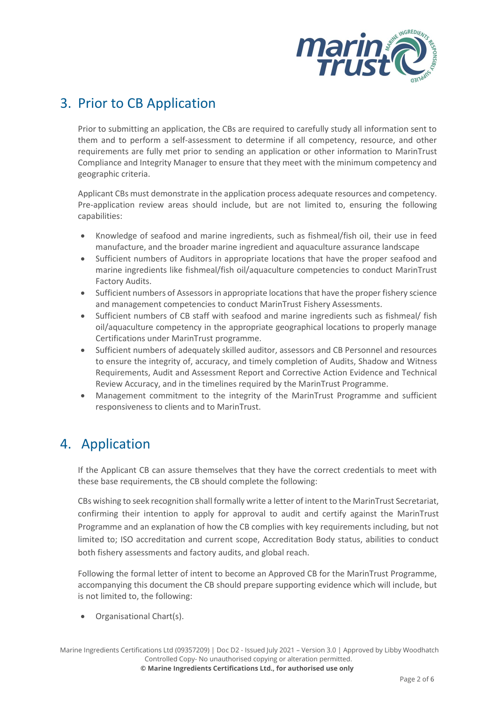

## 3. Prior to CB Application

Prior to submitting an application, the CBs are required to carefully study all information sent to them and to perform a self-assessment to determine if all competency, resource, and other requirements are fully met prior to sending an application or other information to MarinTrust Compliance and Integrity Manager to ensure that they meet with the minimum competency and geographic criteria.

Applicant CBs must demonstrate in the application process adequate resources and competency. Pre-application review areas should include, but are not limited to, ensuring the following capabilities:

- Knowledge of seafood and marine ingredients, such as fishmeal/fish oil, their use in feed manufacture, and the broader marine ingredient and aquaculture assurance landscape
- Sufficient numbers of Auditors in appropriate locations that have the proper seafood and marine ingredients like fishmeal/fish oil/aquaculture competencies to conduct MarinTrust Factory Audits.
- Sufficient numbers of Assessors in appropriate locations that have the proper fishery science and management competencies to conduct MarinTrust Fishery Assessments.
- Sufficient numbers of CB staff with seafood and marine ingredients such as fishmeal/ fish oil/aquaculture competency in the appropriate geographical locations to properly manage Certifications under MarinTrust programme.
- Sufficient numbers of adequately skilled auditor, assessors and CB Personnel and resources to ensure the integrity of, accuracy, and timely completion of Audits, Shadow and Witness Requirements, Audit and Assessment Report and Corrective Action Evidence and Technical Review Accuracy, and in the timelines required by the MarinTrust Programme.
- Management commitment to the integrity of the MarinTrust Programme and sufficient responsiveness to clients and to MarinTrust.

## 4. Application

If the Applicant CB can assure themselves that they have the correct credentials to meet with these base requirements, the CB should complete the following:

CBs wishing to seek recognition shall formally write a letter of intent to the MarinTrust Secretariat, confirming their intention to apply for approval to audit and certify against the MarinTrust Programme and an explanation of how the CB complies with key requirements including, but not limited to; ISO accreditation and current scope, Accreditation Body status, abilities to conduct both fishery assessments and factory audits, and global reach.

Following the formal letter of intent to become an Approved CB for the MarinTrust Programme, accompanying this document the CB should prepare supporting evidence which will include, but is not limited to, the following:

• Organisational Chart(s).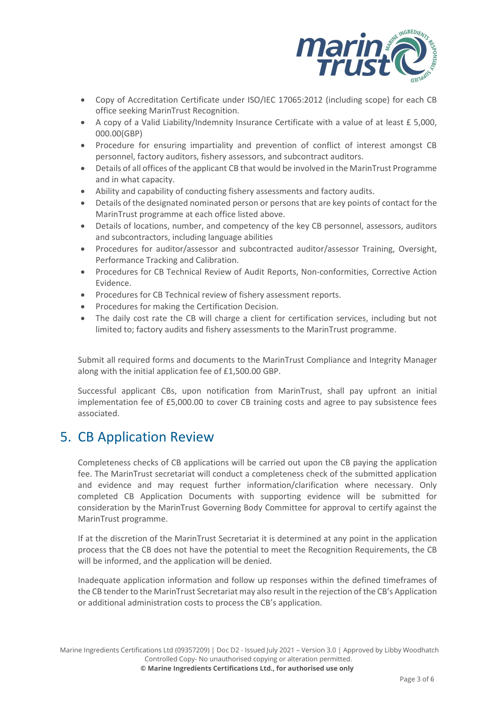

- Copy of Accreditation Certificate under ISO/IEC 17065:2012 (including scope) for each CB office seeking MarinTrust Recognition.
- A copy of a Valid Liability/Indemnity Insurance Certificate with a value of at least £ 5,000, 000.00(GBP)
- Procedure for ensuring impartiality and prevention of conflict of interest amongst CB personnel, factory auditors, fishery assessors, and subcontract auditors.
- Details of all offices of the applicant CB that would be involved in the MarinTrust Programme and in what capacity.
- Ability and capability of conducting fishery assessments and factory audits.
- Details of the designated nominated person or persons that are key points of contact for the MarinTrust programme at each office listed above.
- Details of locations, number, and competency of the key CB personnel, assessors, auditors and subcontractors, including language abilities
- Procedures for auditor/assessor and subcontracted auditor/assessor Training, Oversight, Performance Tracking and Calibration.
- Procedures for CB Technical Review of Audit Reports, Non-conformities, Corrective Action Evidence.
- Procedures for CB Technical review of fishery assessment reports.
- Procedures for making the Certification Decision.
- The daily cost rate the CB will charge a client for certification services, including but not limited to; factory audits and fishery assessments to the MarinTrust programme.

Submit all required forms and documents to the MarinTrust Compliance and Integrity Manager along with the initial application fee of £1,500.00 GBP.

Successful applicant CBs, upon notification from MarinTrust, shall pay upfront an initial implementation fee of £5,000.00 to cover CB training costs and agree to pay subsistence fees associated.

#### 5. CB Application Review

Completeness checks of CB applications will be carried out upon the CB paying the application fee. The MarinTrust secretariat will conduct a completeness check of the submitted application and evidence and may request further information/clarification where necessary. Only completed CB Application Documents with supporting evidence will be submitted for consideration by the MarinTrust Governing Body Committee for approval to certify against the MarinTrust programme.

If at the discretion of the MarinTrust Secretariat it is determined at any point in the application process that the CB does not have the potential to meet the Recognition Requirements, the CB will be informed, and the application will be denied.

Inadequate application information and follow up responses within the defined timeframes of the CB tender to the MarinTrust Secretariat may also result in the rejection of the CB's Application or additional administration costs to process the CB's application.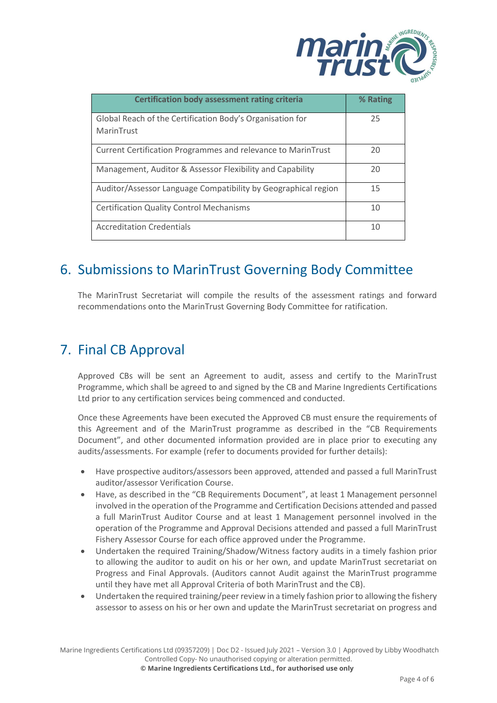

| <b>Certification body assessment rating criteria</b>                    | % Rating |
|-------------------------------------------------------------------------|----------|
| Global Reach of the Certification Body's Organisation for<br>MarinTrust | 25       |
| Current Certification Programmes and relevance to MarinTrust            | 20       |
| Management, Auditor & Assessor Flexibility and Capability               | 20       |
| Auditor/Assessor Language Compatibility by Geographical region          | 15       |
| <b>Certification Quality Control Mechanisms</b>                         | 10       |
| <b>Accreditation Credentials</b>                                        | 10       |

## 6. Submissions to MarinTrust Governing Body Committee

The MarinTrust Secretariat will compile the results of the assessment ratings and forward recommendations onto the MarinTrust Governing Body Committee for ratification.

#### 7. Final CB Approval

Approved CBs will be sent an Agreement to audit, assess and certify to the MarinTrust Programme, which shall be agreed to and signed by the CB and Marine Ingredients Certifications Ltd prior to any certification services being commenced and conducted.

Once these Agreements have been executed the Approved CB must ensure the requirements of this Agreement and of the MarinTrust programme as described in the "CB Requirements Document", and other documented information provided are in place prior to executing any audits/assessments. For example (refer to documents provided for further details):

- Have prospective auditors/assessors been approved, attended and passed a full MarinTrust auditor/assessor Verification Course.
- Have, as described in the "CB Requirements Document", at least 1 Management personnel involved in the operation of the Programme and Certification Decisions attended and passed a full MarinTrust Auditor Course and at least 1 Management personnel involved in the operation of the Programme and Approval Decisions attended and passed a full MarinTrust Fishery Assessor Course for each office approved under the Programme.
- Undertaken the required Training/Shadow/Witness factory audits in a timely fashion prior to allowing the auditor to audit on his or her own, and update MarinTrust secretariat on Progress and Final Approvals. (Auditors cannot Audit against the MarinTrust programme until they have met all Approval Criteria of both MarinTrust and the CB).
- Undertaken the required training/peer review in a timely fashion prior to allowing the fishery assessor to assess on his or her own and update the MarinTrust secretariat on progress and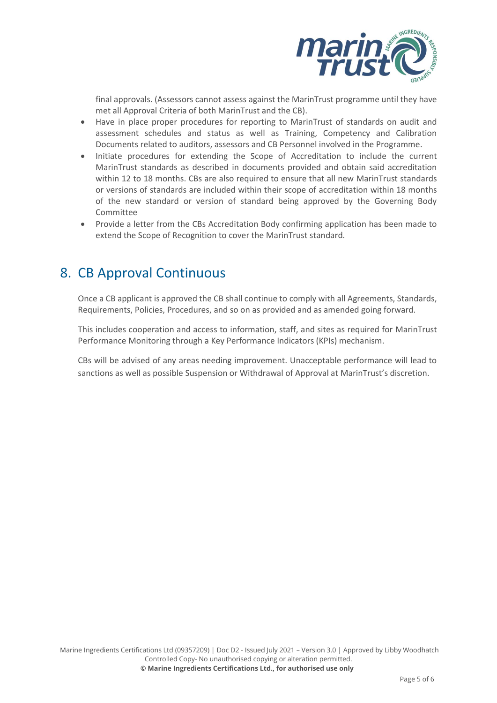

final approvals. (Assessors cannot assess against the MarinTrust programme until they have met all Approval Criteria of both MarinTrust and the CB).

- Have in place proper procedures for reporting to MarinTrust of standards on audit and assessment schedules and status as well as Training, Competency and Calibration Documents related to auditors, assessors and CB Personnel involved in the Programme.
- Initiate procedures for extending the Scope of Accreditation to include the current MarinTrust standards as described in documents provided and obtain said accreditation within 12 to 18 months. CBs are also required to ensure that all new MarinTrust standards or versions of standards are included within their scope of accreditation within 18 months of the new standard or version of standard being approved by the Governing Body Committee
- Provide a letter from the CBs Accreditation Body confirming application has been made to extend the Scope of Recognition to cover the MarinTrust standard.

#### 8. CB Approval Continuous

Once a CB applicant is approved the CB shall continue to comply with all Agreements, Standards, Requirements, Policies, Procedures, and so on as provided and as amended going forward.

This includes cooperation and access to information, staff, and sites as required for MarinTrust Performance Monitoring through a Key Performance Indicators (KPIs) mechanism.

CBs will be advised of any areas needing improvement. Unacceptable performance will lead to sanctions as well as possible Suspension or Withdrawal of Approval at MarinTrust's discretion.